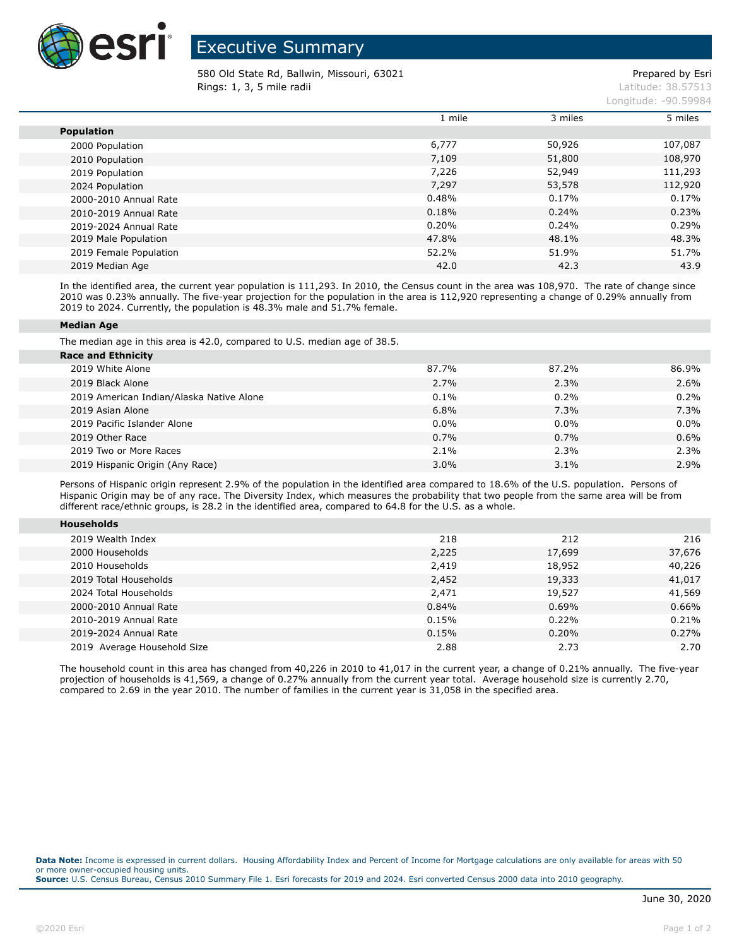

## Executive Summary

580 Old State Rd, Ballwin, Missouri, 63021 example and the proportional control of Prepared by Esri **Rings: 1, 3, 5 mile radii** Latitude: 38.57513

Longitude: -90.59984

|                        | 1 mile | 3 miles | 5 miles |
|------------------------|--------|---------|---------|
| <b>Population</b>      |        |         |         |
| 2000 Population        | 6,777  | 50,926  | 107,087 |
| 2010 Population        | 7,109  | 51,800  | 108,970 |
| 2019 Population        | 7,226  | 52,949  | 111,293 |
| 2024 Population        | 7,297  | 53,578  | 112,920 |
| 2000-2010 Annual Rate  | 0.48%  | 0.17%   | 0.17%   |
| 2010-2019 Annual Rate  | 0.18%  | 0.24%   | 0.23%   |
| 2019-2024 Annual Rate  | 0.20%  | 0.24%   | 0.29%   |
| 2019 Male Population   | 47.8%  | 48.1%   | 48.3%   |
| 2019 Female Population | 52.2%  | 51.9%   | 51.7%   |
| 2019 Median Age        | 42.0   | 42.3    | 43.9    |

In the identified area, the current year population is 111,293. In 2010, the Census count in the area was 108,970. The rate of change since 2010 was 0.23% annually. The five-year projection for the population in the area is 112,920 representing a change of 0.29% annually from 2019 to 2024. Currently, the population is 48.3% male and 51.7% female.

## **Median Age**

The median age in this area is 42.0, compared to U.S. median age of 38.5.

| <b>Race and Ethnicity</b>                |       |         |         |
|------------------------------------------|-------|---------|---------|
| 2019 White Alone                         | 87.7% | 87.2%   | 86.9%   |
| 2019 Black Alone                         | 2.7%  | 2.3%    | 2.6%    |
| 2019 American Indian/Alaska Native Alone | 0.1%  | 0.2%    | 0.2%    |
| 2019 Asian Alone                         | 6.8%  | 7.3%    | 7.3%    |
| 2019 Pacific Islander Alone              | 0.0%  | $0.0\%$ | $0.0\%$ |
| 2019 Other Race                          | 0.7%  | 0.7%    | 0.6%    |
| 2019 Two or More Races                   | 2.1%  | 2.3%    | 2.3%    |
| 2019 Hispanic Origin (Any Race)          | 3.0%  | 3.1%    | 2.9%    |

Persons of Hispanic origin represent 2.9% of the population in the identified area compared to 18.6% of the U.S. population. Persons of Hispanic Origin may be of any race. The Diversity Index, which measures the probability that two people from the same area will be from different race/ethnic groups, is 28.2 in the identified area, compared to 64.8 for the U.S. as a whole.

| <b>Households</b>           |       |        |        |
|-----------------------------|-------|--------|--------|
|                             |       |        |        |
| 2019 Wealth Index           | 218   | 212    | 216    |
| 2000 Households             | 2,225 | 17,699 | 37,676 |
| 2010 Households             | 2,419 | 18,952 | 40,226 |
| 2019 Total Households       | 2,452 | 19,333 | 41,017 |
| 2024 Total Households       | 2,471 | 19,527 | 41,569 |
| 2000-2010 Annual Rate       | 0.84% | 0.69%  | 0.66%  |
| 2010-2019 Annual Rate       | 0.15% | 0.22%  | 0.21%  |
| 2019-2024 Annual Rate       | 0.15% | 0.20%  | 0.27%  |
| 2019 Average Household Size | 2.88  | 2.73   | 2.70   |

The household count in this area has changed from 40,226 in 2010 to 41,017 in the current year, a change of 0.21% annually. The five-year projection of households is 41,569, a change of 0.27% annually from the current year total. Average household size is currently 2.70, compared to 2.69 in the year 2010. The number of families in the current year is 31,058 in the specified area.

**Data Note:** Income is expressed in current dollars. Housing Affordability Index and Percent of Income for Mortgage calculations are only available for areas with 50 or more owner-occupied housing units. **Source:** U.S. Census Bureau, Census 2010 Summary File 1. Esri forecasts for 2019 and 2024. Esri converted Census 2000 data into 2010 geography.